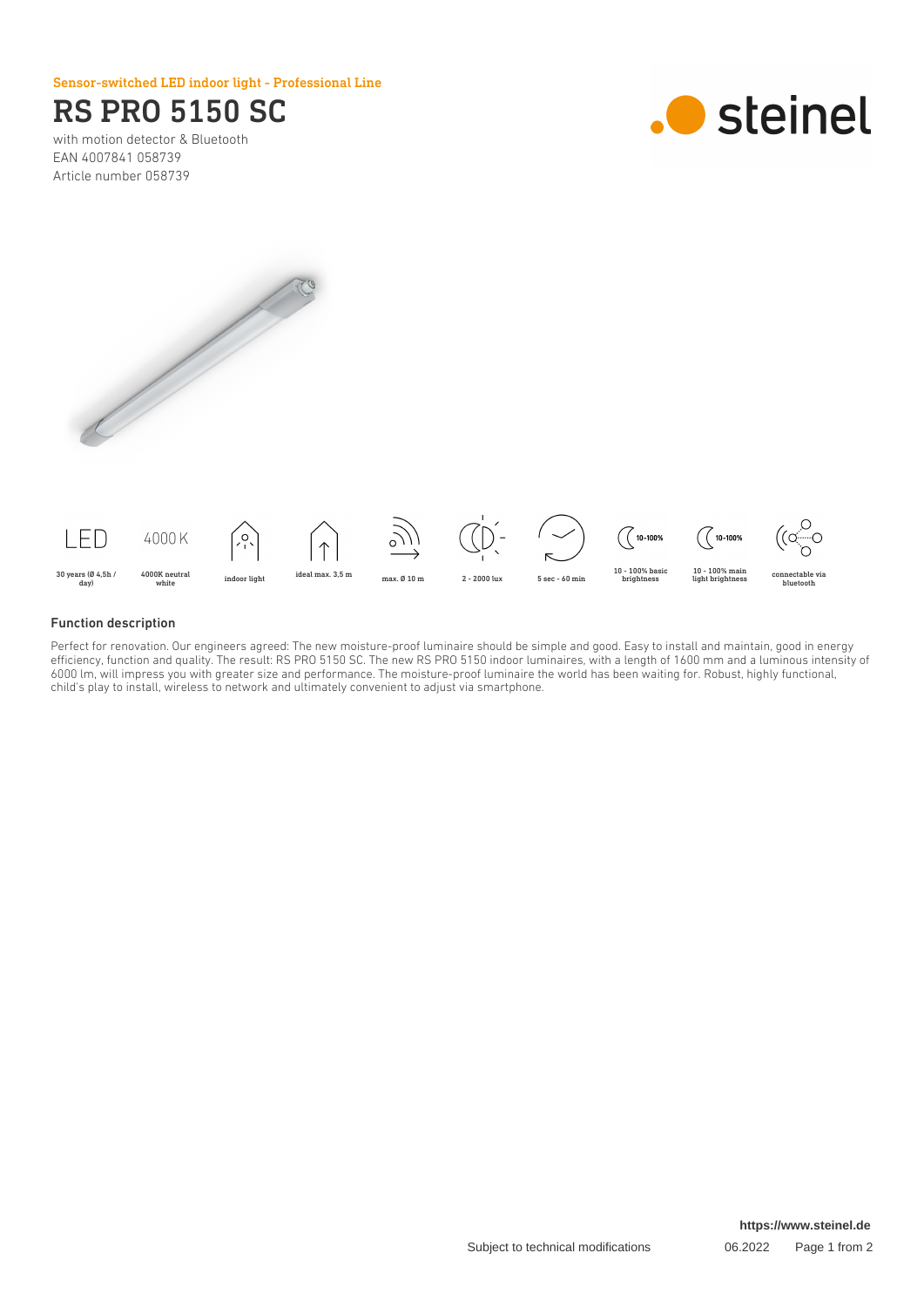### Sensor-switched LED indoor light - Professional Line

# RS PRO 5150 SC

with motion detector & Bluetooth EAN 4007841 058739 Article number 058739







#### Function description

Perfect for renovation. Our engineers agreed: The new moisture-proof luminaire should be simple and good. Easy to install and maintain, good in energy efficiency, function and quality. The result: RS PRO 5150 SC. The new RS PRO 5150 indoor luminaires, with a length of 1600 mm and a luminous intensity of 6000 lm, will impress you with greater size and performance. The moisture-proof luminaire the world has been waiting for. Robust, highly functional, child's play to install, wireless to network and ultimately convenient to adjust via smartphone.